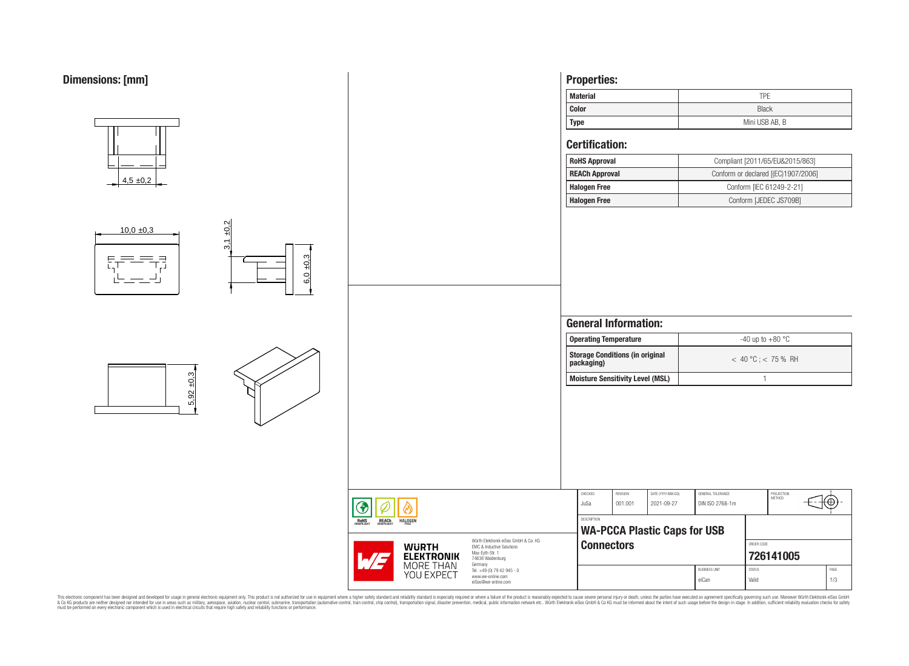

This electronic component has been designed and developed for usage in general electronic equipment only. This product is not authorized for subserved requipment where a higher selection equipment where a higher selection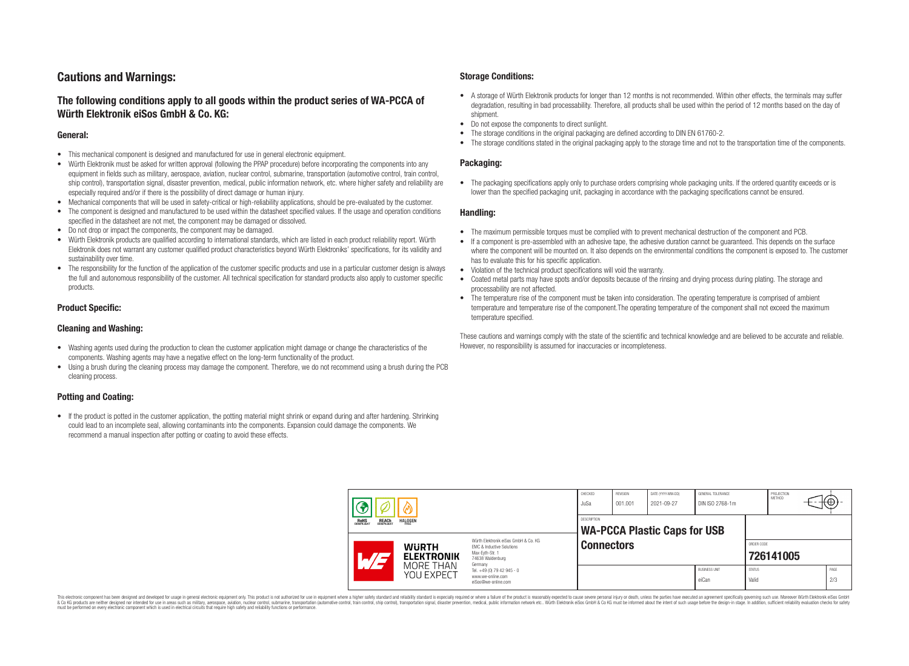# **Cautions and Warnings:**

# **The following conditions apply to all goods within the product series of WA-PCCA of Würth Elektronik eiSos GmbH & Co. KG:**

### **General:**

- This mechanical component is designed and manufactured for use in general electronic equipment.
- Würth Elektronik must be asked for written approval (following the PPAP procedure) before incorporating the components into any equipment in fields such as military, aerospace, aviation, nuclear control, submarine, transportation (automotive control, train control, ship control), transportation signal, disaster prevention, medical, public information network, etc. where higher safety and reliability are especially required and/or if there is the possibility of direct damage or human injury.
- Mechanical components that will be used in safety-critical or high-reliability applications, should be pre-evaluated by the customer.
- The component is designed and manufactured to be used within the datasheet specified values. If the usage and operation conditions specified in the datasheet are not met, the component may be damaged or dissolved.
- Do not drop or impact the components, the component may be damaged.<br>• Wirth Elektronik products are qualified according to international standard
- Würth Elektronik products are qualified according to international standards, which are listed in each product reliability report. Würth Elektronik does not warrant any customer qualified product characteristics beyond Würth Elektroniks' specifications, for its validity and sustainability over time.
- The responsibility for the function of the application of the customer specific products and use in a particular customer design is always the full and autonomous responsibility of the customer. All technical specification for standard products also apply to customer specific products.

### **Product Specific:**

### **Cleaning and Washing:**

- Washing agents used during the production to clean the customer application might damage or change the characteristics of the components. Washing agents may have a negative effect on the long-term functionality of the product.
- Using a brush during the cleaning process may damage the component. Therefore, we do not recommend using a brush during the PCB cleaning process.

## **Potting and Coating:**

• If the product is potted in the customer application, the potting material might shrink or expand during and after hardening. Shrinking could lead to an incomplete seal, allowing contaminants into the components. Expansion could damage the components. We recommend a manual inspection after potting or coating to avoid these effects.

### **Storage Conditions:**

- A storage of Würth Elektronik products for longer than 12 months is not recommended. Within other effects, the terminals may suffer degradation, resulting in bad processability. Therefore, all products shall be used within the period of 12 months based on the day of shipment.
- Do not expose the components to direct sunlight.<br>• The storage conditions in the original packaging
- The storage conditions in the original packaging are defined according to DIN EN 61760-2.
- The storage conditions stated in the original packaging apply to the storage time and not to the transportation time of the components.

### **Packaging:**

• The packaging specifications apply only to purchase orders comprising whole packaging units. If the ordered quantity exceeds or is lower than the specified packaging unit, packaging in accordance with the packaging specifications cannot be ensured.

### **Handling:**

- The maximum permissible torques must be complied with to prevent mechanical destruction of the component and PCB.
- If a component is pre-assembled with an adhesive tape, the adhesive duration cannot be guaranteed. This depends on the surface where the component will be mounted on. It also depends on the environmental conditions the component is exposed to. The customer has to evaluate this for his specific application.
- Violation of the technical product specifications will void the warranty.
- Coated metal parts may have spots and/or deposits because of the rinsing and drying process during plating. The storage and processability are not affected.
- The temperature rise of the component must be taken into consideration. The operating temperature is comprised of ambient temperature and temperature rise of the component.The operating temperature of the component shall not exceed the maximum temperature specified.

These cautions and warnings comply with the state of the scientific and technical knowledge and are believed to be accurate and reliable. However, no responsibility is assumed for inaccuracies or incompleteness.

| <b>REACH</b><br>COMPLIANT<br><b>HALOGEN</b><br>ROHS<br>COMPLIANT |                                                              |                                                                                                                                                                                               | CHECKED<br>JuSa                                    | REVISION<br>001.001 | DATE (YYYY-MM-DD)<br>2021-09-27 | GENERAL TOLERANCE<br>DIN ISO 2768-1m |                         | PROJECTION<br>METHOD |  | ₩           |
|------------------------------------------------------------------|--------------------------------------------------------------|-----------------------------------------------------------------------------------------------------------------------------------------------------------------------------------------------|----------------------------------------------------|---------------------|---------------------------------|--------------------------------------|-------------------------|----------------------|--|-------------|
|                                                                  |                                                              |                                                                                                                                                                                               | DESCRIPTION<br><b>WA-PCCA Plastic Caps for USB</b> |                     |                                 |                                      |                         |                      |  |             |
|                                                                  | <b>WURTH</b><br><b>ELEKTRONIK</b><br>MORE THAN<br>YOU EXPECT | Würth Flektronik eiSos GmbH & Co. KG<br>FMC & Inductive Solutions<br>Max-Evth-Str. 1<br>74638 Waldenburg<br>Germany<br>Tel. +49 (0) 79 42 945 - 0<br>www.we-online.com<br>eiSos@we-online.com | <b>Connectors</b>                                  |                     |                                 |                                      | ORDER CODE<br>726141005 |                      |  |             |
|                                                                  |                                                              |                                                                                                                                                                                               |                                                    |                     |                                 | <b>BUSINESS UNIT</b><br>eiCan        | <b>STATUS</b><br>Valid  |                      |  | PAGE<br>2/3 |

This electronic component has been designed and developed for usage in general electronic equipment only. This product is not authorized for use in equipment where a higher safety standard and reliability standard si espec & Ook product a label and the membed of the seasuch as marked and as which such a membed and the such assume that income in the seasuch and the simulation and the such assume that include to the such a membed and the such